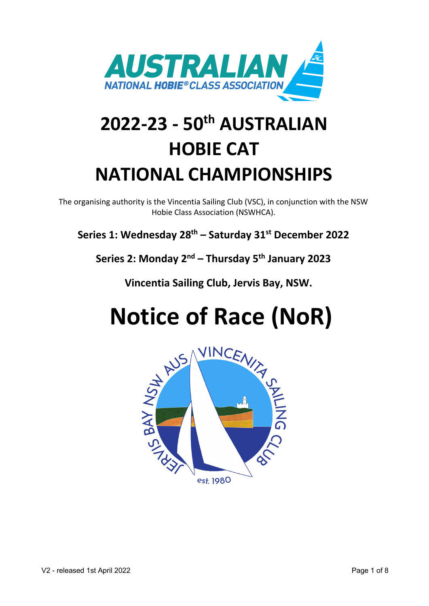

# **2022-23 - 50th AUSTRALIAN HOBIE CAT NATIONAL CHAMPIONSHIPS**

The organising authority is the Vincentia Sailing Club (VSC), in conjunction with the NSW Hobie Class Association (NSWHCA).

**Series 1: Wednesday 28th – Saturday 31st December 2022** 

**Series 2: Monday 2nd – Thursday 5th January 2023**

**Vincentia Sailing Club, Jervis Bay, NSW.**

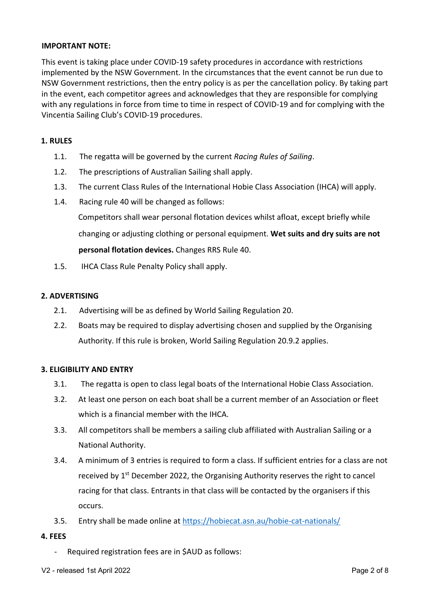### **IMPORTANT NOTE:**

This event is taking place under COVID-19 safety procedures in accordance with restrictions implemented by the NSW Government. In the circumstances that the event cannot be run due to NSW Government restrictions, then the entry policy is as per the cancellation policy. By taking part in the event, each competitor agrees and acknowledges that they are responsible for complying with any regulations in force from time to time in respect of COVID-19 and for complying with the Vincentia Sailing Club's COVID-19 procedures.

#### **1. RULES**

- 1.1. The regatta will be governed by the current *Racing Rules of Sailing*.
- 1.2. The prescriptions of Australian Sailing shall apply.
- 1.3. The current Class Rules of the International Hobie Class Association (IHCA) will apply.
- 1.4. Racing rule 40 will be changed as follows:

Competitors shall wear personal flotation devices whilst afloat, except briefly while changing or adjusting clothing or personal equipment. **Wet suits and dry suits are not personal flotation devices.** Changes RRS Rule 40.

1.5. IHCA Class Rule Penalty Policy shall apply.

#### **2. ADVERTISING**

- 2.1. Advertising will be as defined by World Sailing Regulation 20.
- 2.2. Boats may be required to display advertising chosen and supplied by the Organising Authority. If this rule is broken, World Sailing Regulation 20.9.2 applies.

#### **3. ELIGIBILITY AND ENTRY**

- 3.1. The regatta is open to class legal boats of the International Hobie Class Association.
- 3.2. At least one person on each boat shall be a current member of an Association or fleet which is a financial member with the IHCA.
- 3.3. All competitors shall be members a sailing club affiliated with Australian Sailing or a National Authority.
- 3.4. A minimum of 3 entries is required to form a class. If sufficient entries for a class are not received by  $1<sup>st</sup>$  December 2022, the Organising Authority reserves the right to cancel racing for that class. Entrants in that class will be contacted by the organisers if this occurs.
- 3.5. Entry shall be made online at https://hobiecat.asn.au/hobie-cat-nationals/

#### **4. FEES**

- Required registration fees are in \$AUD as follows:
- V2 released 1st April 2022 **Page 2 of 8**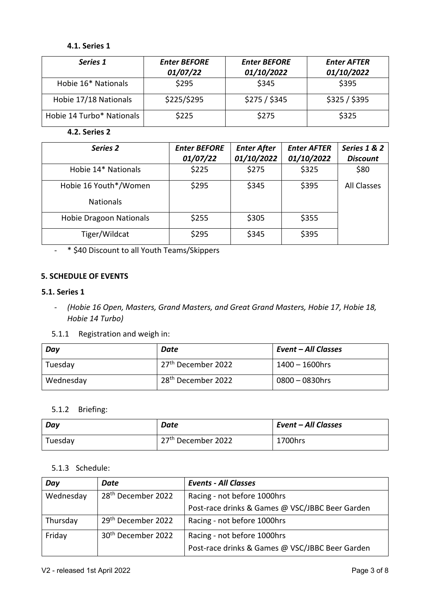# **4.1. Series 1**

| Series 1                  | <b>Enter BEFORE</b><br>01/07/22 | <b>Enter BEFORE</b><br>01/10/2022 | <b>Enter AFTER</b><br>01/10/2022 |
|---------------------------|---------------------------------|-----------------------------------|----------------------------------|
| Hobie 16* Nationals       | \$295                           | \$345                             | \$395                            |
| Hobie 17/18 Nationals     | \$225/\$295                     | \$275 / \$345                     | \$325/\$395                      |
| Hobie 14 Turbo* Nationals | \$225                           | \$275                             | \$325                            |

**4.2. Series 2**

| Series 2                                  | <b>Enter BEFORE</b><br>01/07/22 | <b>Enter After</b><br>01/10/2022 | <b>Enter AFTER</b><br>01/10/2022 | Series 1 & 2<br><b>Discount</b> |
|-------------------------------------------|---------------------------------|----------------------------------|----------------------------------|---------------------------------|
| Hobie 14* Nationals                       | \$225                           | \$275                            | \$325                            | \$80                            |
| Hobie 16 Youth*/Women<br><b>Nationals</b> | \$295                           | \$345                            | \$395                            | All Classes                     |
| <b>Hobie Dragoon Nationals</b>            | \$255                           | \$305                            | \$355                            |                                 |
| Tiger/Wildcat                             | \$295                           | \$345                            | \$395                            |                                 |

- \* \$40 Discount to all Youth Teams/Skippers

# **5. SCHEDULE OF EVENTS**

#### **5.1. Series 1**

- *(Hobie 16 Open, Masters, Grand Masters, and Great Grand Masters, Hobie 17, Hobie 18, Hobie 14 Turbo)*
- 5.1.1 Registration and weigh in:

| Day       | Date                           | Event – All Classes |
|-----------|--------------------------------|---------------------|
| Tuesday   | 27 <sup>th</sup> December 2022 | $1400 - 1600$ hrs   |
| Wednesday | 28 <sup>th</sup> December 2022 | $0800 - 0830$ hrs   |

#### 5.1.2 Briefing:

| Day     | Date                           | <b>Event - All Classes</b> |
|---------|--------------------------------|----------------------------|
| Tuesday | 27 <sup>th</sup> December 2022 | 1700hrs                    |

### 5.1.3 Schedule:

| Day       | Date                           | <b>Events - All Classes</b>                     |  |
|-----------|--------------------------------|-------------------------------------------------|--|
| Wednesday | 28 <sup>th</sup> December 2022 | Racing - not before 1000hrs                     |  |
|           |                                | Post-race drinks & Games @ VSC/JBBC Beer Garden |  |
| Thursday  | 29 <sup>th</sup> December 2022 | Racing - not before 1000hrs                     |  |
| Friday    | 30 <sup>th</sup> December 2022 | Racing - not before 1000hrs                     |  |
|           |                                | Post-race drinks & Games @ VSC/JBBC Beer Garden |  |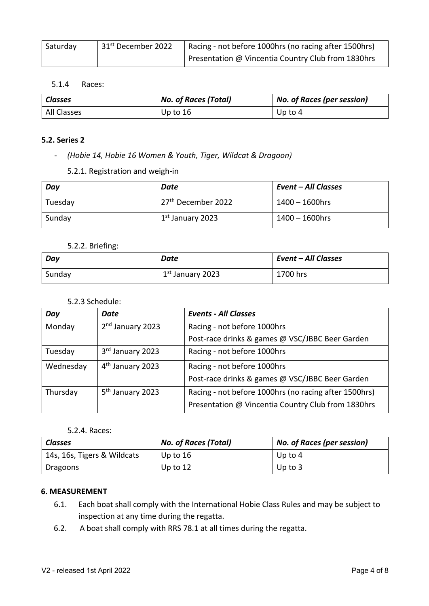| Saturday | 31 <sup>st</sup> December 2022 | Racing - not before 1000hrs (no racing after 1500hrs) |
|----------|--------------------------------|-------------------------------------------------------|
|          |                                | Presentation @ Vincentia Country Club from 1830hrs    |

#### 5.1.4 Races:

| <b>Classes</b> | <b>No. of Races (Total)</b> | <b>No. of Races (per session)</b> |
|----------------|-----------------------------|-----------------------------------|
| All Classes    | Up to 16                    | Up to $4$                         |

#### **5.2. Series 2**

- *(Hobie 14, Hobie 16 Women & Youth, Tiger, Wildcat & Dragoon)*

5.2.1. Registration and weigh-in

| Day     | Date                           | <b>Event - All Classes</b> |
|---------|--------------------------------|----------------------------|
| Tuesday | 27 <sup>th</sup> December 2022 | $1400 - 1600$ hrs          |
| Sunday  | 1 <sup>st</sup> January 2023   | $1400 - 1600$ hrs          |

#### 5.2.2. Briefing:

| Day    | Date                         | <b>Event - All Classes</b> |
|--------|------------------------------|----------------------------|
| Sunday | 1 <sup>st</sup> January 2023 | 1700 hrs                   |

#### 5.2.3 Schedule:

| Day       | Date                         | <b>Events - All Classes</b>                           |
|-----------|------------------------------|-------------------------------------------------------|
| Monday    | 2 <sup>nd</sup> January 2023 | Racing - not before 1000hrs                           |
|           |                              | Post-race drinks & games @ VSC/JBBC Beer Garden       |
| Tuesday   | 3rd January 2023             | Racing - not before 1000hrs                           |
| Wednesday | 4 <sup>th</sup> January 2023 | Racing - not before 1000hrs                           |
|           |                              | Post-race drinks & games @ VSC/JBBC Beer Garden       |
| Thursday  | 5 <sup>th</sup> January 2023 | Racing - not before 1000hrs (no racing after 1500hrs) |
|           |                              | Presentation @ Vincentia Country Club from 1830hrs    |

#### 5.2.4. Races:

| <b>Classes</b>              | <b>No. of Races (Total)</b> | <b>No. of Races (per session)</b> |
|-----------------------------|-----------------------------|-----------------------------------|
| 14s, 16s, Tigers & Wildcats | Up to 16                    | Up to 4                           |
| Dragoons                    | Up to $12$                  | Up to $3$                         |

#### **6. MEASUREMENT**

- 6.1. Each boat shall comply with the International Hobie Class Rules and may be subject to inspection at any time during the regatta.
- 6.2. A boat shall comply with RRS 78.1 at all times during the regatta.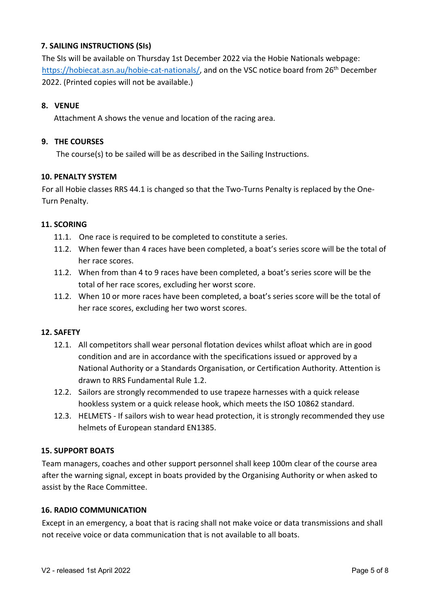# **7. SAILING INSTRUCTIONS (SIs)**

The SIs will be available on Thursday 1st December 2022 via the Hobie Nationals webpage: https://hobiecat.asn.au/hobie-cat-nationals/, and on the VSC notice board from 26<sup>th</sup> December 2022. (Printed copies will not be available.)

### **8. VENUE**

Attachment A shows the venue and location of the racing area.

#### **9. THE COURSES**

The course(s) to be sailed will be as described in the Sailing Instructions.

#### **10. PENALTY SYSTEM**

For all Hobie classes RRS 44.1 is changed so that the Two-Turns Penalty is replaced by the One-Turn Penalty.

### **11. SCORING**

- 11.1. One race is required to be completed to constitute a series.
- 11.2. When fewer than 4 races have been completed, a boat's series score will be the total of her race scores.
- 11.2. When from than 4 to 9 races have been completed, a boat's series score will be the total of her race scores, excluding her worst score.
- 11.2. When 10 or more races have been completed, a boat's series score will be the total of her race scores, excluding her two worst scores.

#### **12. SAFETY**

- 12.1. All competitors shall wear personal flotation devices whilst afloat which are in good condition and are in accordance with the specifications issued or approved by a National Authority or a Standards Organisation, or Certification Authority. Attention is drawn to RRS Fundamental Rule 1.2.
- 12.2. Sailors are strongly recommended to use trapeze harnesses with a quick release hookless system or a quick release hook, which meets the ISO 10862 standard.
- 12.3. HELMETS If sailors wish to wear head protection, it is strongly recommended they use helmets of European standard EN1385.

#### **15. SUPPORT BOATS**

Team managers, coaches and other support personnel shall keep 100m clear of the course area after the warning signal, except in boats provided by the Organising Authority or when asked to assist by the Race Committee.

#### **16. RADIO COMMUNICATION**

Except in an emergency, a boat that is racing shall not make voice or data transmissions and shall not receive voice or data communication that is not available to all boats.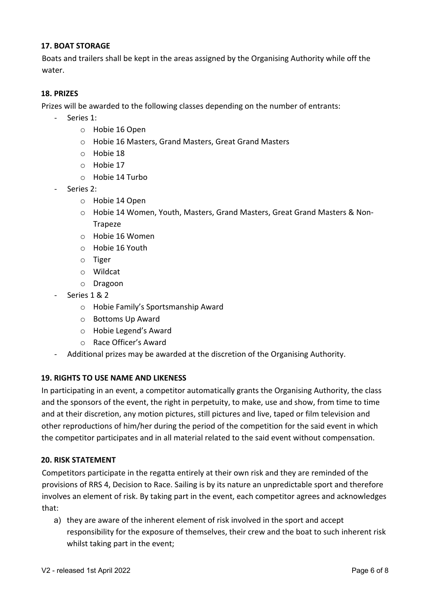### **17. BOAT STORAGE**

Boats and trailers shall be kept in the areas assigned by the Organising Authority while off the water.

### **18. PRIZES**

Prizes will be awarded to the following classes depending on the number of entrants:

- Series 1:
	- o Hobie 16 Open
	- o Hobie 16 Masters, Grand Masters, Great Grand Masters
	- o Hobie 18
	- o Hobie 17
	- o Hobie 14 Turbo
- Series 2:
	- o Hobie 14 Open
	- o Hobie 14 Women, Youth, Masters, Grand Masters, Great Grand Masters & Non-Trapeze
	- o Hobie 16 Women
	- o Hobie 16 Youth
	- o Tiger
	- o Wildcat
	- o Dragoon
- Series 1 & 2
	- o Hobie Family's Sportsmanship Award
	- o Bottoms Up Award
	- o Hobie Legend's Award
	- o Race Officer's Award
- Additional prizes may be awarded at the discretion of the Organising Authority.

#### **19. RIGHTS TO USE NAME AND LIKENESS**

In participating in an event, a competitor automatically grants the Organising Authority, the class and the sponsors of the event, the right in perpetuity, to make, use and show, from time to time and at their discretion, any motion pictures, still pictures and live, taped or film television and other reproductions of him/her during the period of the competition for the said event in which the competitor participates and in all material related to the said event without compensation.

#### **20. RISK STATEMENT**

Competitors participate in the regatta entirely at their own risk and they are reminded of the provisions of RRS 4, Decision to Race. Sailing is by its nature an unpredictable sport and therefore involves an element of risk. By taking part in the event, each competitor agrees and acknowledges that:

a) they are aware of the inherent element of risk involved in the sport and accept responsibility for the exposure of themselves, their crew and the boat to such inherent risk whilst taking part in the event;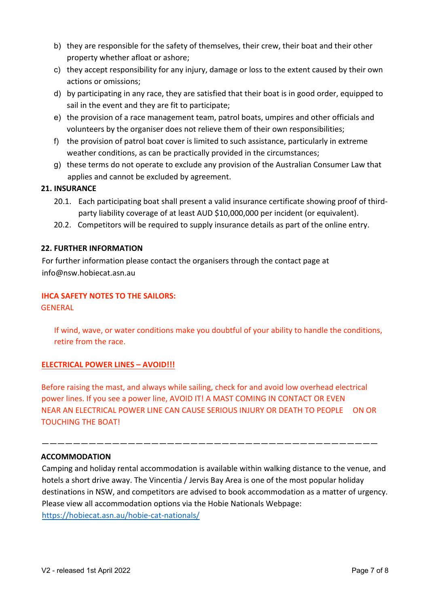- b) they are responsible for the safety of themselves, their crew, their boat and their other property whether afloat or ashore;
- c) they accept responsibility for any injury, damage or loss to the extent caused by their own actions or omissions;
- d) by participating in any race, they are satisfied that their boat is in good order, equipped to sail in the event and they are fit to participate;
- e) the provision of a race management team, patrol boats, umpires and other officials and volunteers by the organiser does not relieve them of their own responsibilities;
- f) the provision of patrol boat cover is limited to such assistance, particularly in extreme weather conditions, as can be practically provided in the circumstances;
- g) these terms do not operate to exclude any provision of the Australian Consumer Law that applies and cannot be excluded by agreement.

# **21. INSURANCE**

- 20.1. Each participating boat shall present a valid insurance certificate showing proof of thirdparty liability coverage of at least AUD \$10,000,000 per incident (or equivalent).
- 20.2. Competitors will be required to supply insurance details as part of the online entry.

# **22. FURTHER INFORMATION**

For further information please contact the organisers through the contact page at info@nsw.hobiecat.asn.au

# **IHCA SAFETY NOTES TO THE SAILORS:**

GENERAL

If wind, wave, or water conditions make you doubtful of your ability to handle the conditions, retire from the race.

# **ELECTRICAL POWER LINES – AVOID!!!**

Before raising the mast, and always while sailing, check for and avoid low overhead electrical power lines. If you see a power line, AVOID IT! A MAST COMING IN CONTACT OR EVEN NEAR AN ELECTRICAL POWER LINE CAN CAUSE SERIOUS INJURY OR DEATH TO PEOPLE ON OR TOUCHING THE BOAT!

———————————————————————————————————————————

# **ACCOMMODATION**

Camping and holiday rental accommodation is available within walking distance to the venue, and hotels a short drive away. The Vincentia / Jervis Bay Area is one of the most popular holiday destinations in NSW, and competitors are advised to book accommodation as a matter of urgency. Please view all accommodation options via the Hobie Nationals Webpage: https://hobiecat.asn.au/hobie-cat-nationals/